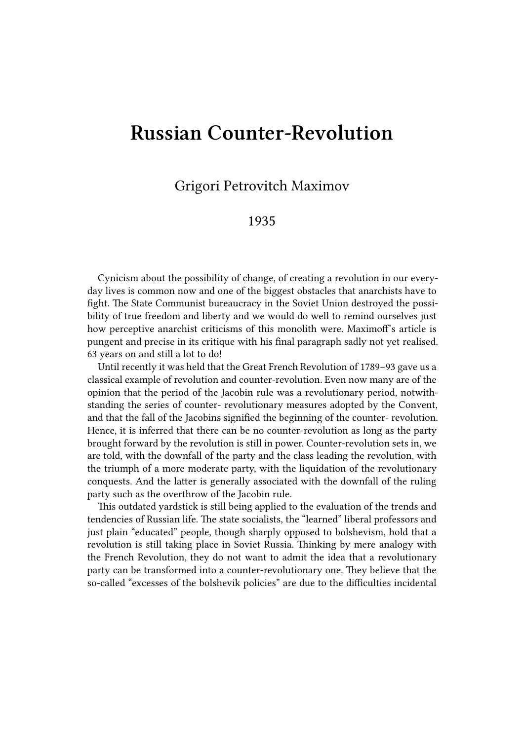## **Russian Counter-Revolution**

Grigori Petrovitch Maximov

## 1935

Cynicism about the possibility of change, of creating a revolution in our everyday lives is common now and one of the biggest obstacles that anarchists have to fight. The State Communist bureaucracy in the Soviet Union destroyed the possibility of true freedom and liberty and we would do well to remind ourselves just how perceptive anarchist criticisms of this monolith were. Maximoff's article is pungent and precise in its critique with his final paragraph sadly not yet realised. 63 years on and still a lot to do!

Until recently it was held that the Great French Revolution of 1789–93 gave us a classical example of revolution and counter-revolution. Even now many are of the opinion that the period of the Jacobin rule was a revolutionary period, notwithstanding the series of counter- revolutionary measures adopted by the Convent, and that the fall of the Jacobins signified the beginning of the counter- revolution. Hence, it is inferred that there can be no counter-revolution as long as the party brought forward by the revolution is still in power. Counter-revolution sets in, we are told, with the downfall of the party and the class leading the revolution, with the triumph of a more moderate party, with the liquidation of the revolutionary conquests. And the latter is generally associated with the downfall of the ruling party such as the overthrow of the Jacobin rule.

This outdated yardstick is still being applied to the evaluation of the trends and tendencies of Russian life. The state socialists, the "learned" liberal professors and just plain "educated" people, though sharply opposed to bolshevism, hold that a revolution is still taking place in Soviet Russia. Thinking by mere analogy with the French Revolution, they do not want to admit the idea that a revolutionary party can be transformed into a counter-revolutionary one. They believe that the so-called "excesses of the bolshevik policies" are due to the difficulties incidental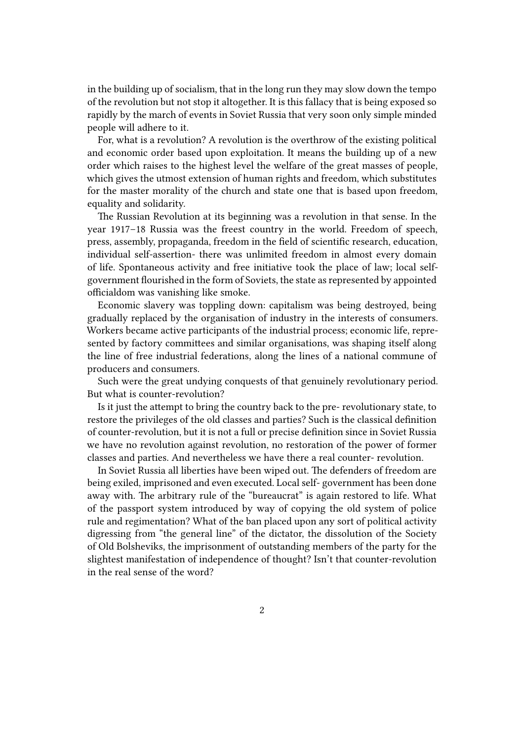in the building up of socialism, that in the long run they may slow down the tempo of the revolution but not stop it altogether. It is this fallacy that is being exposed so rapidly by the march of events in Soviet Russia that very soon only simple minded people will adhere to it.

For, what is a revolution? A revolution is the overthrow of the existing political and economic order based upon exploitation. It means the building up of a new order which raises to the highest level the welfare of the great masses of people, which gives the utmost extension of human rights and freedom, which substitutes for the master morality of the church and state one that is based upon freedom, equality and solidarity.

The Russian Revolution at its beginning was a revolution in that sense. In the year 1917–18 Russia was the freest country in the world. Freedom of speech, press, assembly, propaganda, freedom in the field of scientific research, education, individual self-assertion- there was unlimited freedom in almost every domain of life. Spontaneous activity and free initiative took the place of law; local selfgovernment flourished in the form of Soviets, the state as represented by appointed officialdom was vanishing like smoke.

Economic slavery was toppling down: capitalism was being destroyed, being gradually replaced by the organisation of industry in the interests of consumers. Workers became active participants of the industrial process; economic life, represented by factory committees and similar organisations, was shaping itself along the line of free industrial federations, along the lines of a national commune of producers and consumers.

Such were the great undying conquests of that genuinely revolutionary period. But what is counter-revolution?

Is it just the attempt to bring the country back to the pre- revolutionary state, to restore the privileges of the old classes and parties? Such is the classical definition of counter-revolution, but it is not a full or precise definition since in Soviet Russia we have no revolution against revolution, no restoration of the power of former classes and parties. And nevertheless we have there a real counter- revolution.

In Soviet Russia all liberties have been wiped out. The defenders of freedom are being exiled, imprisoned and even executed. Local self- government has been done away with. The arbitrary rule of the "bureaucrat" is again restored to life. What of the passport system introduced by way of copying the old system of police rule and regimentation? What of the ban placed upon any sort of political activity digressing from "the general line" of the dictator, the dissolution of the Society of Old Bolsheviks, the imprisonment of outstanding members of the party for the slightest manifestation of independence of thought? Isn't that counter-revolution in the real sense of the word?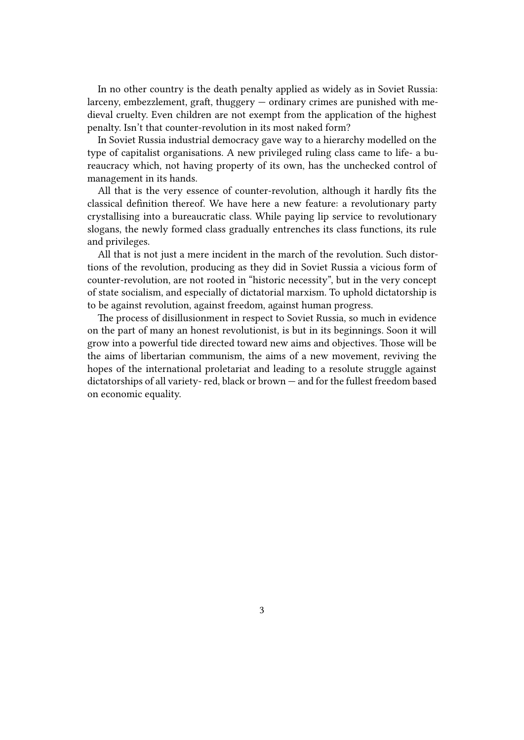In no other country is the death penalty applied as widely as in Soviet Russia: larceny, embezzlement, graft, thuggery — ordinary crimes are punished with medieval cruelty. Even children are not exempt from the application of the highest penalty. Isn't that counter-revolution in its most naked form?

In Soviet Russia industrial democracy gave way to a hierarchy modelled on the type of capitalist organisations. A new privileged ruling class came to life- a bureaucracy which, not having property of its own, has the unchecked control of management in its hands.

All that is the very essence of counter-revolution, although it hardly fits the classical definition thereof. We have here a new feature: a revolutionary party crystallising into a bureaucratic class. While paying lip service to revolutionary slogans, the newly formed class gradually entrenches its class functions, its rule and privileges.

All that is not just a mere incident in the march of the revolution. Such distortions of the revolution, producing as they did in Soviet Russia a vicious form of counter-revolution, are not rooted in "historic necessity", but in the very concept of state socialism, and especially of dictatorial marxism. To uphold dictatorship is to be against revolution, against freedom, against human progress.

The process of disillusionment in respect to Soviet Russia, so much in evidence on the part of many an honest revolutionist, is but in its beginnings. Soon it will grow into a powerful tide directed toward new aims and objectives. Those will be the aims of libertarian communism, the aims of a new movement, reviving the hopes of the international proletariat and leading to a resolute struggle against dictatorships of all variety- red, black or brown — and for the fullest freedom based on economic equality.